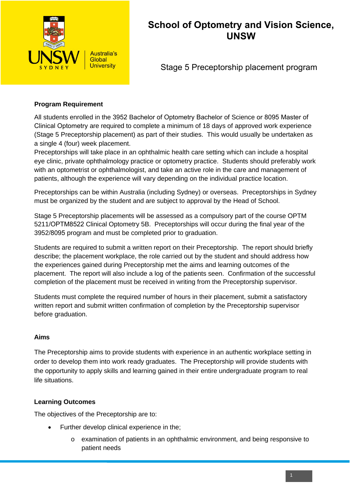

# **School of Optometry and Vision Science, UNSW**

Stage 5 Preceptorship placement program

#### **Program Requirement**

All students enrolled in the 3952 Bachelor of Optometry Bachelor of Science or 8095 Master of Clinical Optometry are required to complete a minimum of 18 days of approved work experience (Stage 5 Preceptorship placement) as part of their studies. This would usually be undertaken as a single 4 (four) week placement.

Preceptorships will take place in an ophthalmic health care setting which can include a hospital eye clinic, private ophthalmology practice or optometry practice. Students should preferably work with an optometrist or ophthalmologist, and take an active role in the care and management of patients, although the experience will vary depending on the individual practice location.

Preceptorships can be within Australia (including Sydney) or overseas. Preceptorships in Sydney must be organized by the student and are subject to approval by the Head of School.

Stage 5 Preceptorship placements will be assessed as a compulsory part of the course OPTM 5211/OPTM8522 Clinical Optometry 5B. Preceptorships will occur during the final year of the 3952/8095 program and must be completed prior to graduation.

Students are required to submit a written report on their Preceptorship. The report should briefly describe; the placement workplace, the role carried out by the student and should address how the experiences gained during Preceptorship met the aims and learning outcomes of the placement. The report will also include a log of the patients seen. Confirmation of the successful completion of the placement must be received in writing from the Preceptorship supervisor.

Students must complete the required number of hours in their placement, submit a satisfactory written report and submit written confirmation of completion by the Preceptorship supervisor before graduation.

#### **Aims**

The Preceptorship aims to provide students with experience in an authentic workplace setting in order to develop them into work ready graduates. The Preceptorship will provide students with the opportunity to apply skills and learning gained in their entire undergraduate program to real life situations.

## **Learning Outcomes**

The objectives of the Preceptorship are to:

- Further develop clinical experience in the;
	- o examination of patients in an ophthalmic environment, and being responsive to patient needs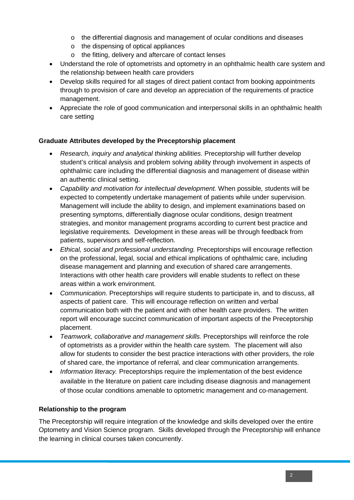- o the differential diagnosis and management of ocular conditions and diseases
- o the dispensing of optical appliances
- o the fitting, delivery and aftercare of contact lenses
- Understand the role of optometrists and optometry in an ophthalmic health care system and the relationship between health care providers
- Develop skills required for all stages of direct patient contact from booking appointments through to provision of care and develop an appreciation of the requirements of practice management.
- Appreciate the role of good communication and interpersonal skills in an ophthalmic health care setting

## **Graduate Attributes developed by the Preceptorship placement**

- *Research, inquiry and analytical thinking abilities.* Preceptorship will further develop student's critical analysis and problem solving ability through involvement in aspects of ophthalmic care including the differential diagnosis and management of disease within an authentic clinical setting.
- *Capability and motivation for intellectual development.* When possible*, s*tudents will be expected to competently undertake management of patients while under supervision. Management will include the ability to design, and implement examinations based on presenting symptoms, differentially diagnose ocular conditions, design treatment strategies, and monitor management programs according to current best practice and legislative requirements. Development in these areas will be through feedback from patients, supervisors and self-reflection.
- *Ethical, social and professional understanding.* Preceptorships will encourage reflection on the professional, legal, social and ethical implications of ophthalmic care, including disease management and planning and execution of shared care arrangements. Interactions with other health care providers will enable students to reflect on these areas within a work environment.
- *Communication.* Preceptorships will require students to participate in, and to discuss, all aspects of patient care. This will encourage reflection on written and verbal communication both with the patient and with other health care providers. The written report will encourage succinct communication of important aspects of the Preceptorship placement.
- *Teamwork, collaborative and management skills.* Preceptorships will reinforce the role of optometrists as a provider within the health care system. The placement will also allow for students to consider the best practice interactions with other providers, the role of shared care, the importance of referral, and clear communication arrangements.
- *Information literacy.* Preceptorships require the implementation of the best evidence available in the literature on patient care including disease diagnosis and management of those ocular conditions amenable to optometric management and co-management.

## **Relationship to the program**

The Preceptorship will require integration of the knowledge and skills developed over the entire Optometry and Vision Science program. Skills developed through the Preceptorship will enhance the learning in clinical courses taken concurrently.